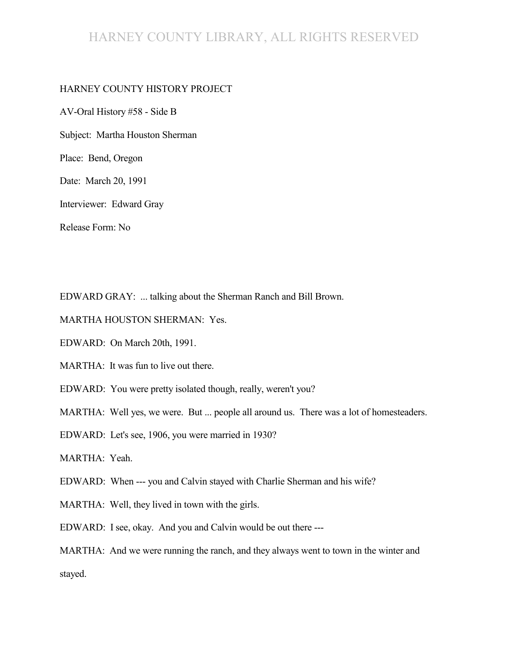## HARNEY COUNTY LIBRARY, ALL RIGHTS RESERVED

#### HARNEY COUNTY HISTORY PROJECT

AV-Oral History #58 - Side B

Subject: Martha Houston Sherman

Place: Bend, Oregon

Date: March 20, 1991

Interviewer: Edward Gray

Release Form: No

EDWARD GRAY: ... talking about the Sherman Ranch and Bill Brown.

- MARTHA HOUSTON SHERMAN: Yes.
- EDWARD: On March 20th, 1991.
- MARTHA: It was fun to live out there.
- EDWARD: You were pretty isolated though, really, weren't you?

MARTHA: Well yes, we were. But ... people all around us. There was a lot of homesteaders.

EDWARD: Let's see, 1906, you were married in 1930?

MARTHA: Yeah.

- EDWARD: When --- you and Calvin stayed with Charlie Sherman and his wife?
- MARTHA: Well, they lived in town with the girls.
- EDWARD: I see, okay. And you and Calvin would be out there ---

MARTHA: And we were running the ranch, and they always went to town in the winter and stayed.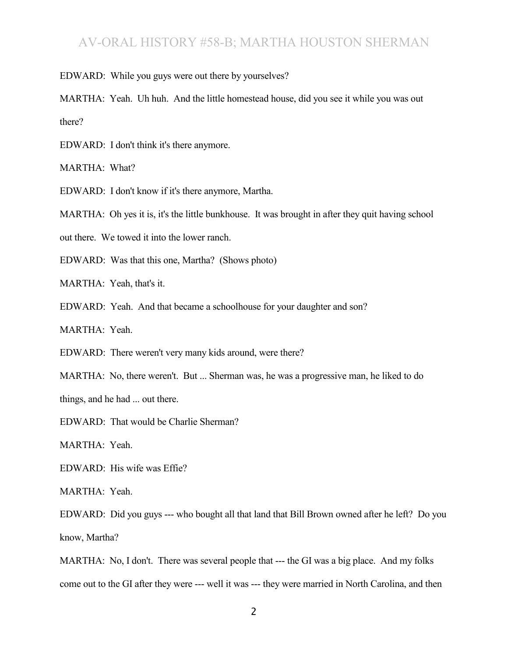EDWARD: While you guys were out there by yourselves?

MARTHA: Yeah. Uh huh. And the little homestead house, did you see it while you was out there?

EDWARD: I don't think it's there anymore.

MARTHA: What?

EDWARD: I don't know if it's there anymore, Martha.

MARTHA: Oh yes it is, it's the little bunkhouse. It was brought in after they quit having school

out there. We towed it into the lower ranch.

EDWARD: Was that this one, Martha? (Shows photo)

MARTHA: Yeah, that's it.

EDWARD: Yeah. And that became a schoolhouse for your daughter and son?

MARTHA: Yeah.

EDWARD: There weren't very many kids around, were there?

MARTHA: No, there weren't. But ... Sherman was, he was a progressive man, he liked to do

things, and he had ... out there.

EDWARD: That would be Charlie Sherman?

MARTHA: Yeah.

EDWARD: His wife was Effie?

MARTHA: Yeah.

EDWARD: Did you guys --- who bought all that land that Bill Brown owned after he left? Do you know, Martha?

MARTHA: No, I don't. There was several people that --- the GI was a big place. And my folks come out to the GI after they were --- well it was --- they were married in North Carolina, and then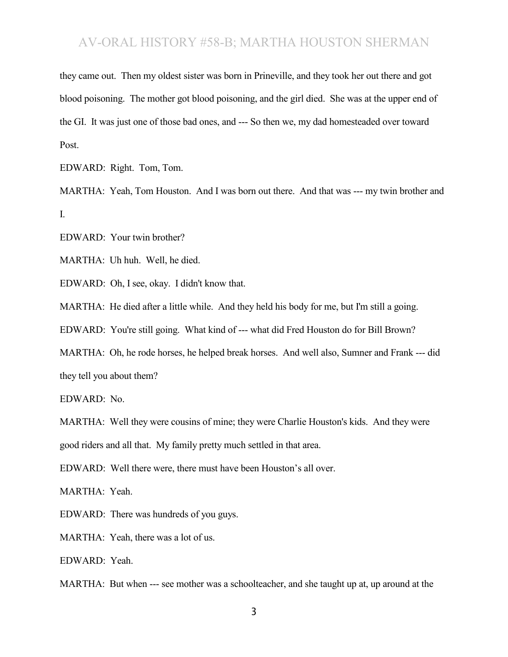they came out. Then my oldest sister was born in Prineville, and they took her out there and got blood poisoning. The mother got blood poisoning, and the girl died. She was at the upper end of the GI. It was just one of those bad ones, and --- So then we, my dad homesteaded over toward Post.

EDWARD: Right. Tom, Tom.

MARTHA: Yeah, Tom Houston. And I was born out there. And that was --- my twin brother and I.

EDWARD: Your twin brother?

MARTHA: Uh huh. Well, he died.

EDWARD: Oh, I see, okay. I didn't know that.

MARTHA: He died after a little while. And they held his body for me, but I'm still a going.

EDWARD: You're still going. What kind of --- what did Fred Houston do for Bill Brown?

MARTHA: Oh, he rode horses, he helped break horses. And well also, Sumner and Frank --- did they tell you about them?

EDWARD: No.

MARTHA: Well they were cousins of mine; they were Charlie Houston's kids. And they were good riders and all that. My family pretty much settled in that area.

EDWARD: Well there were, there must have been Houston's all over.

MARTHA: Yeah.

EDWARD: There was hundreds of you guys.

MARTHA: Yeah, there was a lot of us.

EDWARD: Yeah.

MARTHA: But when --- see mother was a schoolteacher, and she taught up at, up around at the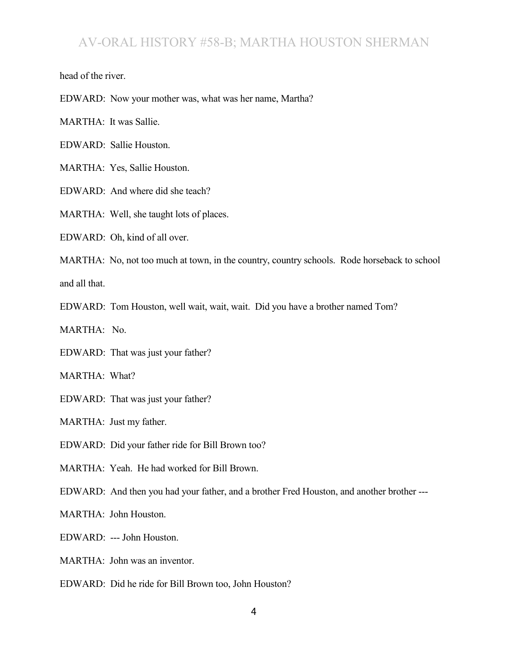head of the river.

- EDWARD: Now your mother was, what was her name, Martha?
- MARTHA: It was Sallie.
- EDWARD: Sallie Houston.
- MARTHA: Yes, Sallie Houston.
- EDWARD: And where did she teach?
- MARTHA: Well, she taught lots of places.
- EDWARD: Oh, kind of all over.

MARTHA: No, not too much at town, in the country, country schools. Rode horseback to school and all that.

- EDWARD: Tom Houston, well wait, wait, wait. Did you have a brother named Tom?
- MARTHA: No.
- EDWARD: That was just your father?
- MARTHA: What?
- EDWARD: That was just your father?

MARTHA: Just my father.

- EDWARD: Did your father ride for Bill Brown too?
- MARTHA: Yeah. He had worked for Bill Brown.
- EDWARD: And then you had your father, and a brother Fred Houston, and another brother ---
- MARTHA: John Houston.
- EDWARD: --- John Houston.
- MARTHA: John was an inventor.
- EDWARD: Did he ride for Bill Brown too, John Houston?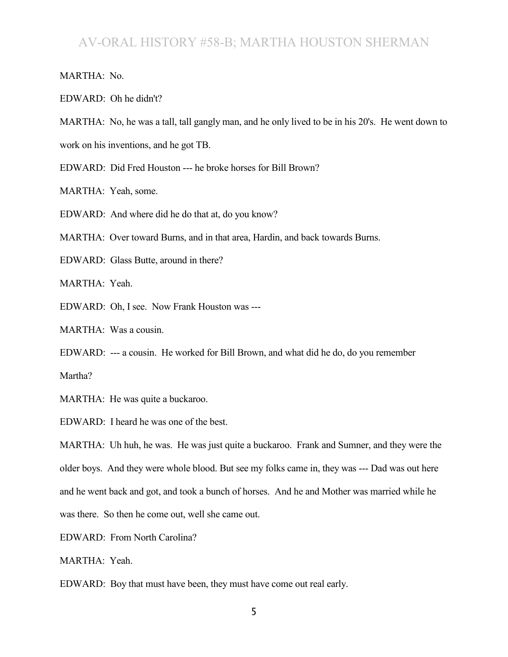MARTHA: No.

EDWARD: Oh he didn't?

MARTHA: No, he was a tall, tall gangly man, and he only lived to be in his 20's. He went down to

work on his inventions, and he got TB.

EDWARD: Did Fred Houston --- he broke horses for Bill Brown?

MARTHA: Yeah, some.

EDWARD: And where did he do that at, do you know?

MARTHA: Over toward Burns, and in that area, Hardin, and back towards Burns.

EDWARD: Glass Butte, around in there?

MARTHA: Yeah.

EDWARD: Oh, I see. Now Frank Houston was ---

MARTHA: Was a cousin.

EDWARD: --- a cousin. He worked for Bill Brown, and what did he do, do you remember Martha?

MARTHA: He was quite a buckaroo.

EDWARD: I heard he was one of the best.

MARTHA: Uh huh, he was. He was just quite a buckaroo. Frank and Sumner, and they were the older boys. And they were whole blood. But see my folks came in, they was --- Dad was out here and he went back and got, and took a bunch of horses. And he and Mother was married while he was there. So then he come out, well she came out.

EDWARD: From North Carolina?

MARTHA: Yeah.

EDWARD: Boy that must have been, they must have come out real early.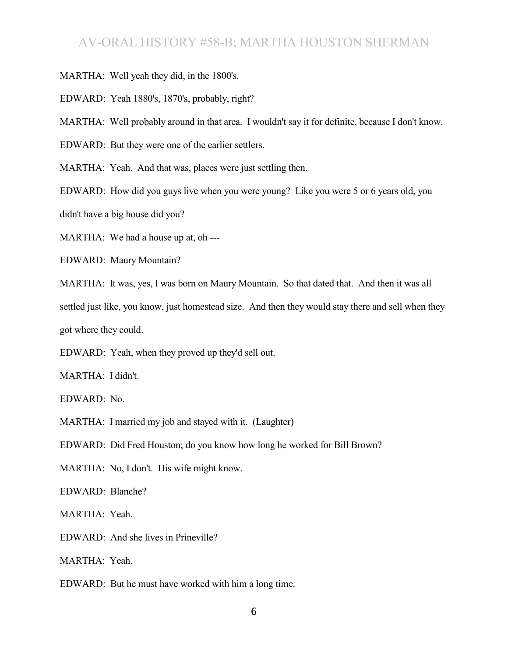MARTHA: Well yeah they did, in the 1800's.

EDWARD: Yeah 1880's, 1870's, probably, right?

MARTHA: Well probably around in that area. I wouldn't say it for definite, because I don't know.

EDWARD: But they were one of the earlier settlers.

MARTHA: Yeah. And that was, places were just settling then.

EDWARD: How did you guys live when you were young? Like you were 5 or 6 years old, you

didn't have a big house did you?

MARTHA: We had a house up at, oh ---

EDWARD: Maury Mountain?

MARTHA: It was, yes, I was born on Maury Mountain. So that dated that. And then it was all

settled just like, you know, just homestead size. And then they would stay there and sell when they

got where they could.

EDWARD: Yeah, when they proved up they'd sell out.

MARTHA: I didn't.

EDWARD: No.

MARTHA: I married my job and stayed with it. (Laughter)

EDWARD: Did Fred Houston; do you know how long he worked for Bill Brown?

MARTHA: No, I don't. His wife might know.

EDWARD: Blanche?

MARTHA: Yeah.

EDWARD: And she lives in Prineville?

MARTHA: Yeah.

EDWARD: But he must have worked with him a long time.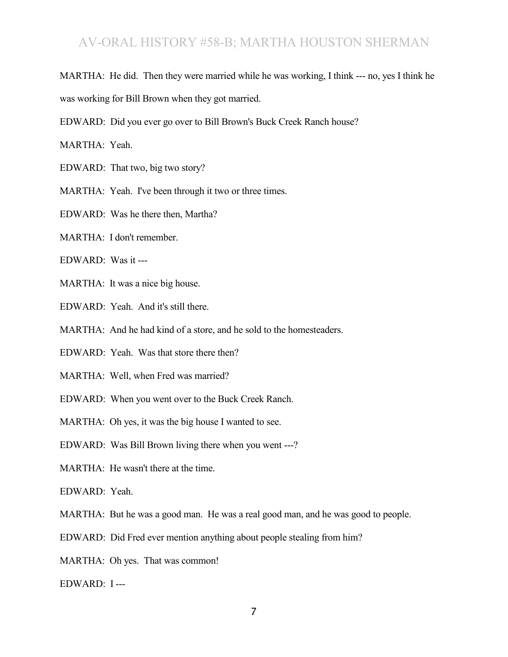MARTHA: He did. Then they were married while he was working, I think --- no, yes I think he was working for Bill Brown when they got married.

EDWARD: Did you ever go over to Bill Brown's Buck Creek Ranch house?

MARTHA: Yeah.

EDWARD: That two, big two story?

MARTHA: Yeah. I've been through it two or three times.

EDWARD: Was he there then, Martha?

MARTHA: I don't remember.

EDWARD: Was it ---

MARTHA: It was a nice big house.

EDWARD: Yeah. And it's still there.

MARTHA: And he had kind of a store, and he sold to the homesteaders.

EDWARD: Yeah. Was that store there then?

MARTHA: Well, when Fred was married?

EDWARD: When you went over to the Buck Creek Ranch.

MARTHA: Oh yes, it was the big house I wanted to see.

EDWARD: Was Bill Brown living there when you went ---?

MARTHA: He wasn't there at the time.

EDWARD: Yeah.

MARTHA: But he was a good man. He was a real good man, and he was good to people.

EDWARD: Did Fred ever mention anything about people stealing from him?

MARTHA: Oh yes. That was common!

EDWARD: I ---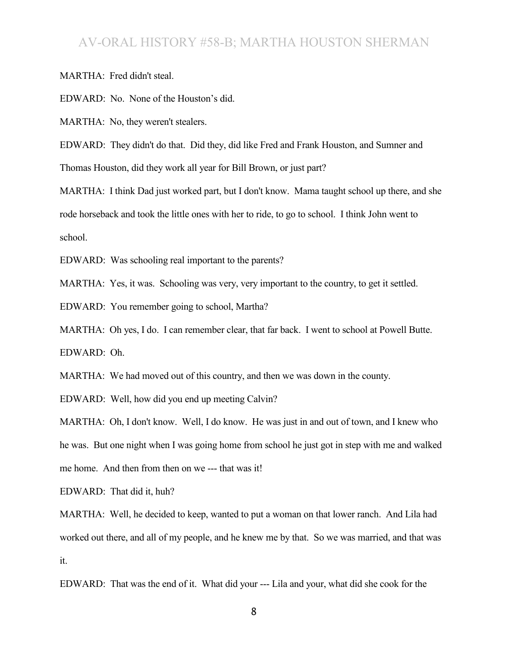MARTHA: Fred didn't steal.

EDWARD: No. None of the Houston's did.

MARTHA: No, they weren't stealers.

EDWARD: They didn't do that. Did they, did like Fred and Frank Houston, and Sumner and Thomas Houston, did they work all year for Bill Brown, or just part?

MARTHA: I think Dad just worked part, but I don't know. Mama taught school up there, and she rode horseback and took the little ones with her to ride, to go to school. I think John went to school.

EDWARD: Was schooling real important to the parents?

MARTHA: Yes, it was. Schooling was very, very important to the country, to get it settled.

EDWARD: You remember going to school, Martha?

MARTHA: Oh yes, I do. I can remember clear, that far back. I went to school at Powell Butte. EDWARD: Oh.

MARTHA: We had moved out of this country, and then we was down in the county.

EDWARD: Well, how did you end up meeting Calvin?

MARTHA: Oh, I don't know. Well, I do know. He was just in and out of town, and I knew who he was. But one night when I was going home from school he just got in step with me and walked me home. And then from then on we --- that was it!

EDWARD: That did it, huh?

MARTHA: Well, he decided to keep, wanted to put a woman on that lower ranch. And Lila had worked out there, and all of my people, and he knew me by that. So we was married, and that was it.

EDWARD: That was the end of it. What did your --- Lila and your, what did she cook for the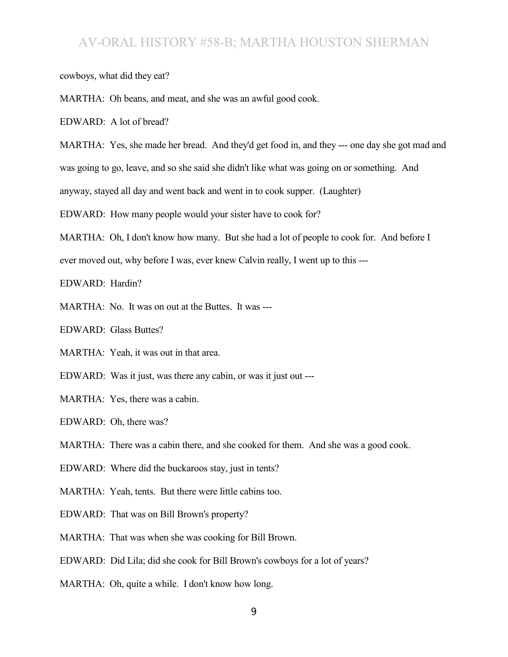cowboys, what did they eat?

MARTHA: Oh beans, and meat, and she was an awful good cook.

EDWARD: A lot of bread?

MARTHA: Yes, she made her bread. And they'd get food in, and they --- one day she got mad and

was going to go, leave, and so she said she didn't like what was going on or something. And

anyway, stayed all day and went back and went in to cook supper. (Laughter)

EDWARD: How many people would your sister have to cook for?

MARTHA: Oh, I don't know how many. But she had a lot of people to cook for. And before I

ever moved out, why before I was, ever knew Calvin really, I went up to this ---

EDWARD: Hardin?

MARTHA: No. It was on out at the Buttes. It was ---

EDWARD: Glass Buttes?

MARTHA: Yeah, it was out in that area.

EDWARD: Was it just, was there any cabin, or was it just out ---

MARTHA: Yes, there was a cabin.

EDWARD: Oh, there was?

MARTHA: There was a cabin there, and she cooked for them. And she was a good cook.

EDWARD: Where did the buckaroos stay, just in tents?

MARTHA: Yeah, tents. But there were little cabins too.

EDWARD: That was on Bill Brown's property?

MARTHA: That was when she was cooking for Bill Brown.

EDWARD: Did Lila; did she cook for Bill Brown's cowboys for a lot of years?

MARTHA: Oh, quite a while. I don't know how long.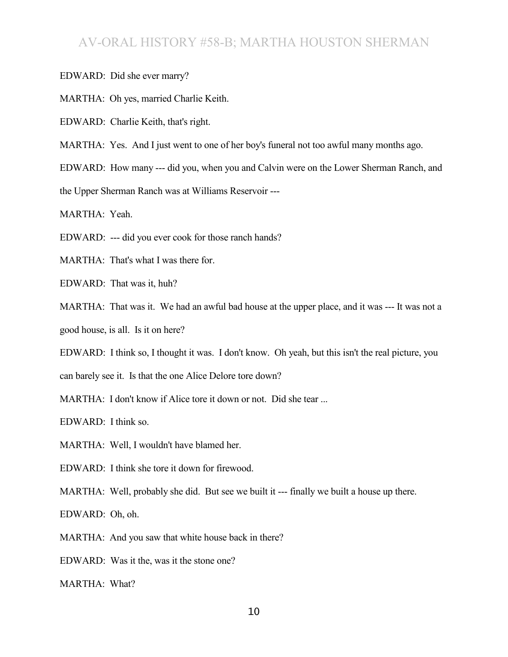EDWARD: Did she ever marry?

MARTHA: Oh yes, married Charlie Keith.

EDWARD: Charlie Keith, that's right.

MARTHA: Yes. And I just went to one of her boy's funeral not too awful many months ago.

EDWARD: How many --- did you, when you and Calvin were on the Lower Sherman Ranch, and

the Upper Sherman Ranch was at Williams Reservoir ---

MARTHA: Yeah.

EDWARD: --- did you ever cook for those ranch hands?

MARTHA: That's what I was there for.

EDWARD: That was it, huh?

MARTHA: That was it. We had an awful bad house at the upper place, and it was --- It was not a good house, is all. Is it on here?

EDWARD: I think so, I thought it was. I don't know. Oh yeah, but this isn't the real picture, you

can barely see it. Is that the one Alice Delore tore down?

MARTHA: I don't know if Alice tore it down or not. Did she tear ...

EDWARD: I think so.

MARTHA: Well, I wouldn't have blamed her.

EDWARD: I think she tore it down for firewood.

MARTHA: Well, probably she did. But see we built it --- finally we built a house up there.

EDWARD: Oh, oh.

MARTHA: And you saw that white house back in there?

EDWARD: Was it the, was it the stone one?

MARTHA: What?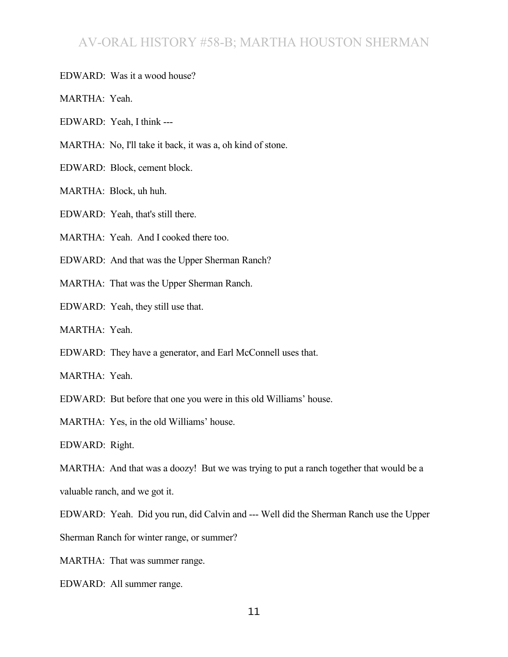EDWARD: Was it a wood house?

MARTHA: Yeah.

EDWARD: Yeah, I think ---

- MARTHA: No, I'll take it back, it was a, oh kind of stone.
- EDWARD: Block, cement block.

MARTHA: Block, uh huh.

EDWARD: Yeah, that's still there.

MARTHA: Yeah. And I cooked there too.

EDWARD: And that was the Upper Sherman Ranch?

MARTHA: That was the Upper Sherman Ranch.

EDWARD: Yeah, they still use that.

MARTHA: Yeah.

EDWARD: They have a generator, and Earl McConnell uses that.

MARTHA: Yeah.

EDWARD: But before that one you were in this old Williams' house.

MARTHA: Yes, in the old Williams' house.

EDWARD: Right.

MARTHA: And that was a doozy! But we was trying to put a ranch together that would be a valuable ranch, and we got it.

EDWARD: Yeah. Did you run, did Calvin and --- Well did the Sherman Ranch use the Upper

Sherman Ranch for winter range, or summer?

MARTHA: That was summer range.

EDWARD: All summer range.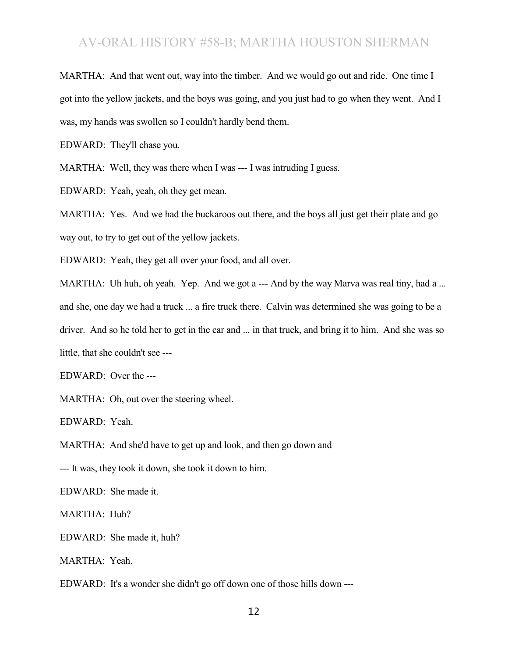MARTHA: And that went out, way into the timber. And we would go out and ride. One time I got into the yellow jackets, and the boys was going, and you just had to go when they went. And I was, my hands was swollen so I couldn't hardly bend them.

EDWARD: They'll chase you.

MARTHA: Well, they was there when I was --- I was intruding I guess.

EDWARD: Yeah, yeah, oh they get mean.

MARTHA: Yes. And we had the buckaroos out there, and the boys all just get their plate and go way out, to try to get out of the yellow jackets.

EDWARD: Yeah, they get all over your food, and all over.

MARTHA: Uh huh, oh yeah. Yep. And we got a --- And by the way Marva was real tiny, had a ... and she, one day we had a truck ... a fire truck there. Calvin was determined she was going to be a driver. And so he told her to get in the car and ... in that truck, and bring it to him. And she was so little, that she couldn't see ---

EDWARD: Over the ---

MARTHA: Oh, out over the steering wheel.

EDWARD: Yeah.

MARTHA: And she'd have to get up and look, and then go down and

--- It was, they took it down, she took it down to him.

EDWARD: She made it.

MARTHA: Huh?

EDWARD: She made it, huh?

MARTHA: Yeah.

EDWARD: It's a wonder she didn't go off down one of those hills down ---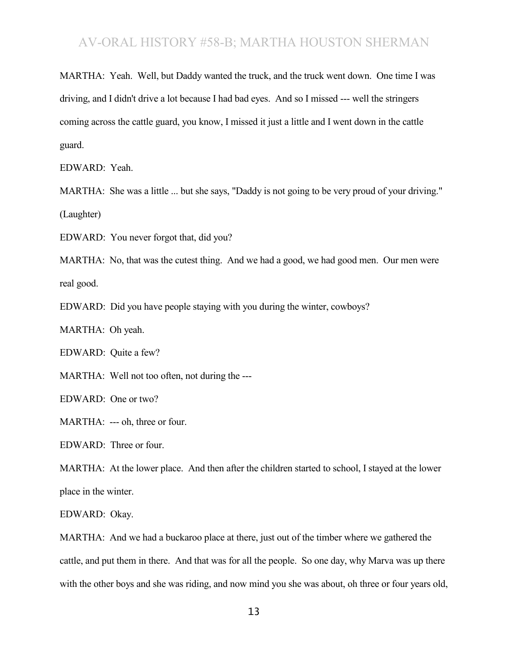MARTHA: Yeah. Well, but Daddy wanted the truck, and the truck went down. One time I was driving, and I didn't drive a lot because I had bad eyes. And so I missed --- well the stringers coming across the cattle guard, you know, I missed it just a little and I went down in the cattle guard.

EDWARD: Yeah.

MARTHA: She was a little ... but she says, "Daddy is not going to be very proud of your driving." (Laughter)

EDWARD: You never forgot that, did you?

MARTHA: No, that was the cutest thing. And we had a good, we had good men. Our men were real good.

EDWARD: Did you have people staying with you during the winter, cowboys?

MARTHA: Oh yeah.

EDWARD: Quite a few?

MARTHA: Well not too often, not during the ---

EDWARD: One or two?

MARTHA: --- oh, three or four.

EDWARD: Three or four.

MARTHA: At the lower place. And then after the children started to school, I stayed at the lower place in the winter.

EDWARD: Okay.

MARTHA: And we had a buckaroo place at there, just out of the timber where we gathered the cattle, and put them in there. And that was for all the people. So one day, why Marva was up there with the other boys and she was riding, and now mind you she was about, oh three or four years old,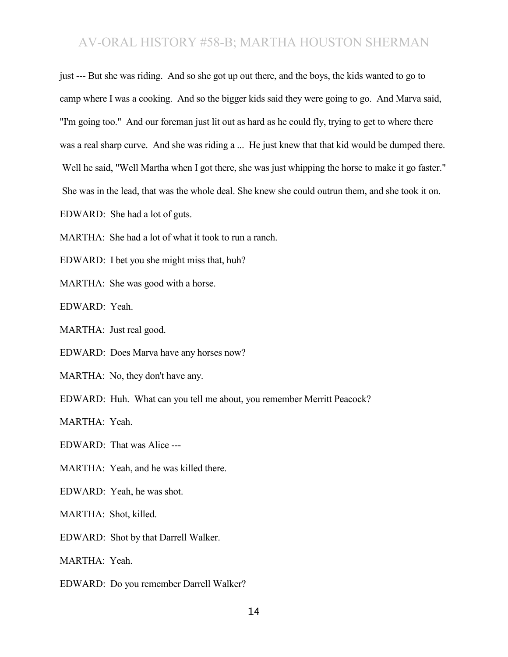just --- But she was riding. And so she got up out there, and the boys, the kids wanted to go to camp where I was a cooking. And so the bigger kids said they were going to go. And Marva said, "I'm going too." And our foreman just lit out as hard as he could fly, trying to get to where there was a real sharp curve. And she was riding a ... He just knew that that kid would be dumped there. Well he said, "Well Martha when I got there, she was just whipping the horse to make it go faster." She was in the lead, that was the whole deal. She knew she could outrun them, and she took it on. EDWARD: She had a lot of guts.

MARTHA: She had a lot of what it took to run a ranch.

EDWARD: I bet you she might miss that, huh?

MARTHA: She was good with a horse.

EDWARD: Yeah.

MARTHA: Just real good.

EDWARD: Does Marva have any horses now?

MARTHA: No, they don't have any.

EDWARD: Huh. What can you tell me about, you remember Merritt Peacock?

MARTHA: Yeah.

EDWARD: That was Alice ---

MARTHA: Yeah, and he was killed there.

EDWARD: Yeah, he was shot.

MARTHA: Shot, killed.

EDWARD: Shot by that Darrell Walker.

MARTHA: Yeah.

EDWARD: Do you remember Darrell Walker?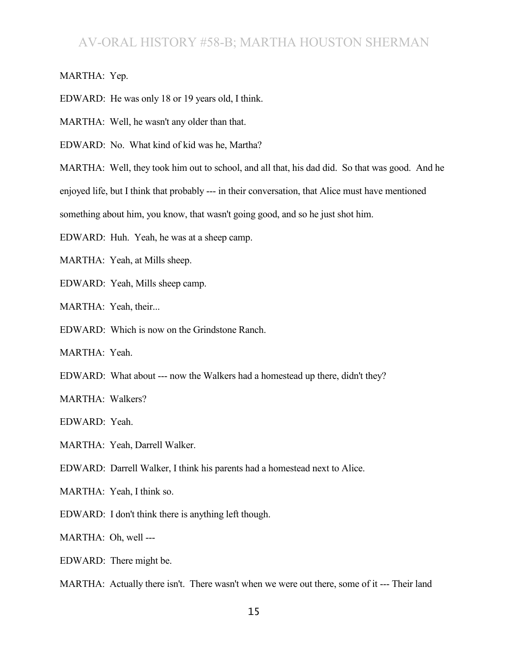#### MARTHA: Yep.

EDWARD: He was only 18 or 19 years old, I think.

MARTHA: Well, he wasn't any older than that.

EDWARD: No. What kind of kid was he, Martha?

MARTHA: Well, they took him out to school, and all that, his dad did. So that was good. And he

enjoyed life, but I think that probably --- in their conversation, that Alice must have mentioned

something about him, you know, that wasn't going good, and so he just shot him.

EDWARD: Huh. Yeah, he was at a sheep camp.

MARTHA: Yeah, at Mills sheep.

EDWARD: Yeah, Mills sheep camp.

MARTHA: Yeah, their...

EDWARD: Which is now on the Grindstone Ranch.

MARTHA: Yeah.

EDWARD: What about --- now the Walkers had a homestead up there, didn't they?

MARTHA: Walkers?

EDWARD: Yeah.

MARTHA: Yeah, Darrell Walker.

EDWARD: Darrell Walker, I think his parents had a homestead next to Alice.

MARTHA: Yeah, I think so.

EDWARD: I don't think there is anything left though.

MARTHA: Oh, well ---

EDWARD: There might be.

MARTHA: Actually there isn't. There wasn't when we were out there, some of it --- Their land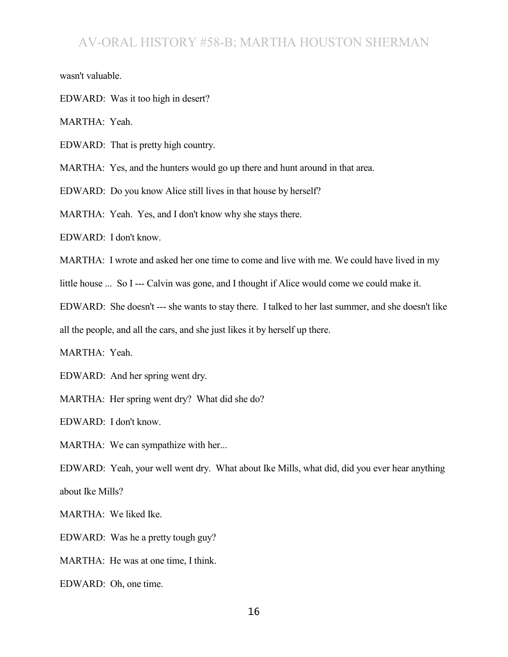wasn't valuable.

EDWARD: Was it too high in desert?

MARTHA: Yeah.

EDWARD: That is pretty high country.

MARTHA: Yes, and the hunters would go up there and hunt around in that area.

EDWARD: Do you know Alice still lives in that house by herself?

MARTHA: Yeah. Yes, and I don't know why she stays there.

EDWARD: I don't know.

MARTHA: I wrote and asked her one time to come and live with me. We could have lived in my

little house ... So I --- Calvin was gone, and I thought if Alice would come we could make it.

EDWARD: She doesn't --- she wants to stay there. I talked to her last summer, and she doesn't like

all the people, and all the cars, and she just likes it by herself up there.

MARTHA: Yeah.

EDWARD: And her spring went dry.

MARTHA: Her spring went dry? What did she do?

EDWARD: I don't know.

MARTHA: We can sympathize with her...

EDWARD: Yeah, your well went dry. What about Ike Mills, what did, did you ever hear anything about Ike Mills?

MARTHA: We liked Ike.

EDWARD: Was he a pretty tough guy?

MARTHA: He was at one time, I think.

EDWARD: Oh, one time.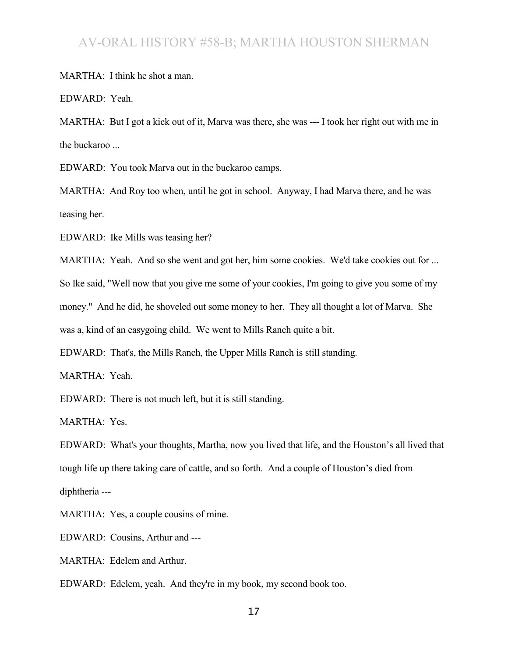MARTHA: I think he shot a man.

EDWARD: Yeah.

MARTHA: But I got a kick out of it, Marva was there, she was --- I took her right out with me in the buckaroo ...

EDWARD: You took Marva out in the buckaroo camps.

MARTHA: And Roy too when, until he got in school. Anyway, I had Marva there, and he was teasing her.

EDWARD: Ike Mills was teasing her?

MARTHA: Yeah. And so she went and got her, him some cookies. We'd take cookies out for ...

So Ike said, "Well now that you give me some of your cookies, I'm going to give you some of my

money." And he did, he shoveled out some money to her. They all thought a lot of Marva. She

was a, kind of an easygoing child. We went to Mills Ranch quite a bit.

EDWARD: That's, the Mills Ranch, the Upper Mills Ranch is still standing.

MARTHA: Yeah.

EDWARD: There is not much left, but it is still standing.

MARTHA: Yes.

EDWARD: What's your thoughts, Martha, now you lived that life, and the Houston's all lived that tough life up there taking care of cattle, and so forth. And a couple of Houston's died from diphtheria ---

MARTHA: Yes, a couple cousins of mine.

EDWARD: Cousins, Arthur and ---

MARTHA: Edelem and Arthur.

EDWARD: Edelem, yeah. And they're in my book, my second book too.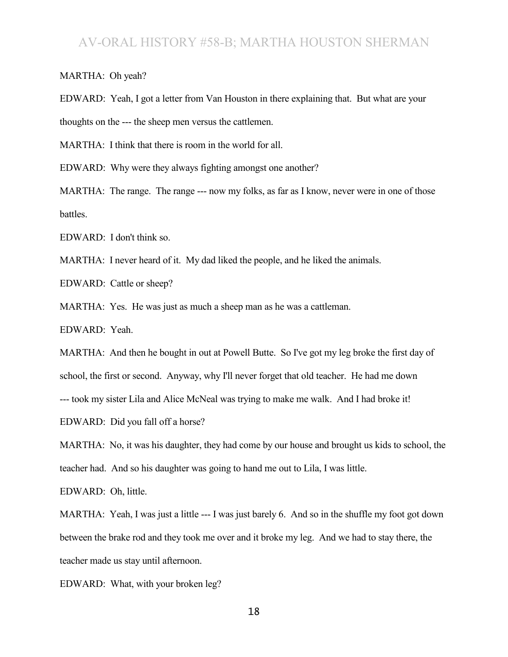#### MARTHA: Oh yeah?

EDWARD: Yeah, I got a letter from Van Houston in there explaining that. But what are your thoughts on the --- the sheep men versus the cattlemen.

MARTHA: I think that there is room in the world for all.

EDWARD: Why were they always fighting amongst one another?

MARTHA: The range. The range --- now my folks, as far as I know, never were in one of those battles.

EDWARD: I don't think so.

MARTHA: I never heard of it. My dad liked the people, and he liked the animals.

EDWARD: Cattle or sheep?

MARTHA: Yes. He was just as much a sheep man as he was a cattleman.

EDWARD: Yeah.

MARTHA: And then he bought in out at Powell Butte. So I've got my leg broke the first day of school, the first or second. Anyway, why I'll never forget that old teacher. He had me down --- took my sister Lila and Alice McNeal was trying to make me walk. And I had broke it! EDWARD: Did you fall off a horse?

MARTHA: No, it was his daughter, they had come by our house and brought us kids to school, the teacher had. And so his daughter was going to hand me out to Lila, I was little.

EDWARD: Oh, little.

MARTHA: Yeah, I was just a little --- I was just barely 6. And so in the shuffle my foot got down between the brake rod and they took me over and it broke my leg. And we had to stay there, the teacher made us stay until afternoon.

EDWARD: What, with your broken leg?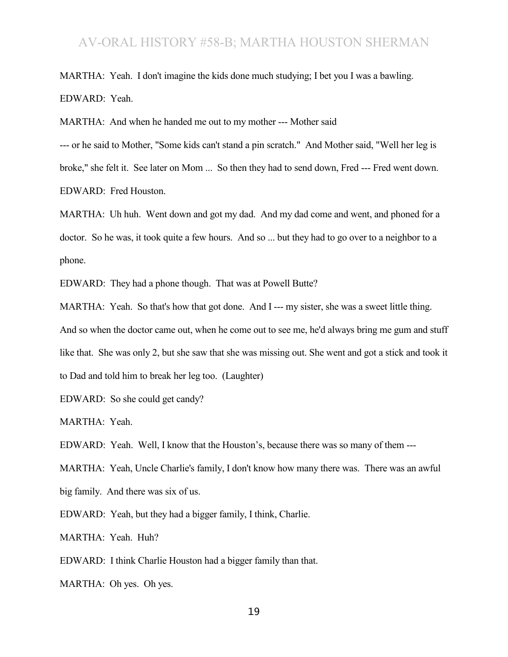MARTHA: Yeah. I don't imagine the kids done much studying; I bet you I was a bawling. EDWARD: Yeah.

MARTHA: And when he handed me out to my mother --- Mother said

--- or he said to Mother, "Some kids can't stand a pin scratch." And Mother said, "Well her leg is broke," she felt it. See later on Mom ... So then they had to send down, Fred --- Fred went down. EDWARD: Fred Houston.

MARTHA: Uh huh. Went down and got my dad. And my dad come and went, and phoned for a doctor. So he was, it took quite a few hours. And so ... but they had to go over to a neighbor to a phone.

EDWARD: They had a phone though. That was at Powell Butte?

MARTHA: Yeah. So that's how that got done. And I --- my sister, she was a sweet little thing. And so when the doctor came out, when he come out to see me, he'd always bring me gum and stuff like that. She was only 2, but she saw that she was missing out. She went and got a stick and took it to Dad and told him to break her leg too. (Laughter)

EDWARD: So she could get candy?

MARTHA: Yeah.

EDWARD: Yeah. Well, I know that the Houston's, because there was so many of them ---

MARTHA: Yeah, Uncle Charlie's family, I don't know how many there was. There was an awful big family. And there was six of us.

EDWARD: Yeah, but they had a bigger family, I think, Charlie.

MARTHA: Yeah. Huh?

EDWARD: I think Charlie Houston had a bigger family than that.

MARTHA: Oh yes. Oh yes.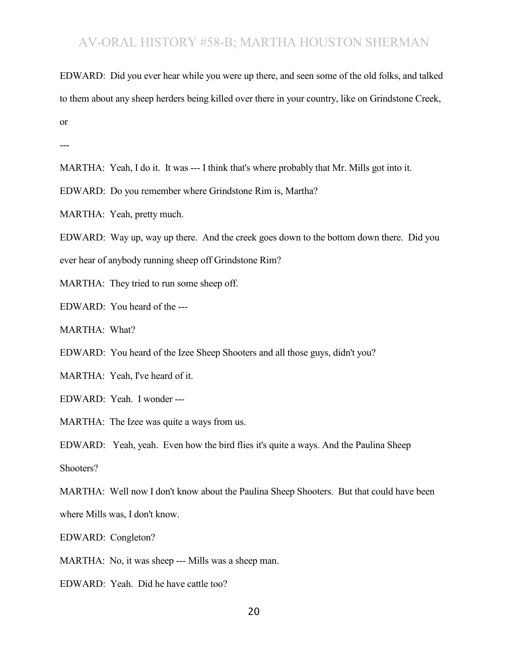EDWARD: Did you ever hear while you were up there, and seen some of the old folks, and talked to them about any sheep herders being killed over there in your country, like on Grindstone Creek, or

---

MARTHA: Yeah, I do it. It was --- I think that's where probably that Mr. Mills got into it.

EDWARD: Do you remember where Grindstone Rim is, Martha?

MARTHA: Yeah, pretty much.

EDWARD: Way up, way up there. And the creek goes down to the bottom down there. Did you ever hear of anybody running sheep off Grindstone Rim?

MARTHA: They tried to run some sheep off.

EDWARD: You heard of the ---

MARTHA: What?

EDWARD: You heard of the Izee Sheep Shooters and all those guys, didn't you?

MARTHA: Yeah, I've heard of it.

EDWARD: Yeah. I wonder ---

MARTHA: The Izee was quite a ways from us.

EDWARD: Yeah, yeah. Even how the bird flies it's quite a ways. And the Paulina Sheep Shooters?

MARTHA: Well now I don't know about the Paulina Sheep Shooters. But that could have been where Mills was, I don't know.

EDWARD: Congleton?

MARTHA: No, it was sheep --- Mills was a sheep man.

EDWARD: Yeah. Did he have cattle too?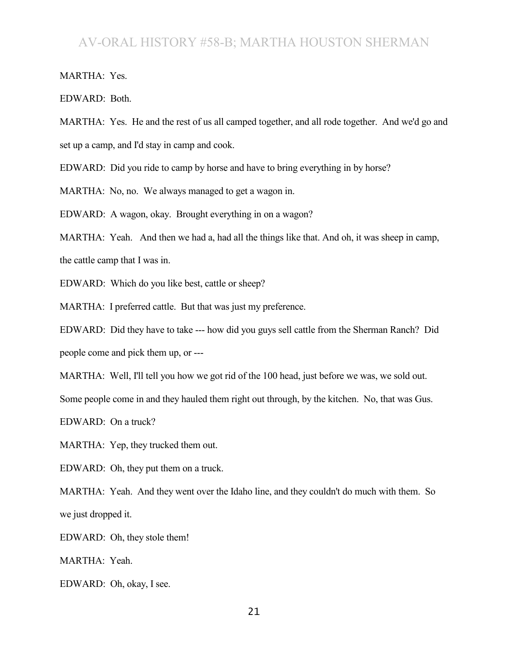MARTHA: Yes.

EDWARD: Both.

MARTHA: Yes. He and the rest of us all camped together, and all rode together. And we'd go and set up a camp, and I'd stay in camp and cook.

EDWARD: Did you ride to camp by horse and have to bring everything in by horse?

MARTHA: No, no. We always managed to get a wagon in.

EDWARD: A wagon, okay. Brought everything in on a wagon?

MARTHA: Yeah. And then we had a, had all the things like that. And oh, it was sheep in camp, the cattle camp that I was in.

EDWARD: Which do you like best, cattle or sheep?

MARTHA: I preferred cattle. But that was just my preference.

EDWARD: Did they have to take --- how did you guys sell cattle from the Sherman Ranch? Did people come and pick them up, or ---

MARTHA: Well, I'll tell you how we got rid of the 100 head, just before we was, we sold out.

Some people come in and they hauled them right out through, by the kitchen. No, that was Gus.

EDWARD: On a truck?

MARTHA: Yep, they trucked them out.

EDWARD: Oh, they put them on a truck.

MARTHA: Yeah. And they went over the Idaho line, and they couldn't do much with them. So we just dropped it.

EDWARD: Oh, they stole them!

MARTHA: Yeah.

EDWARD: Oh, okay, I see.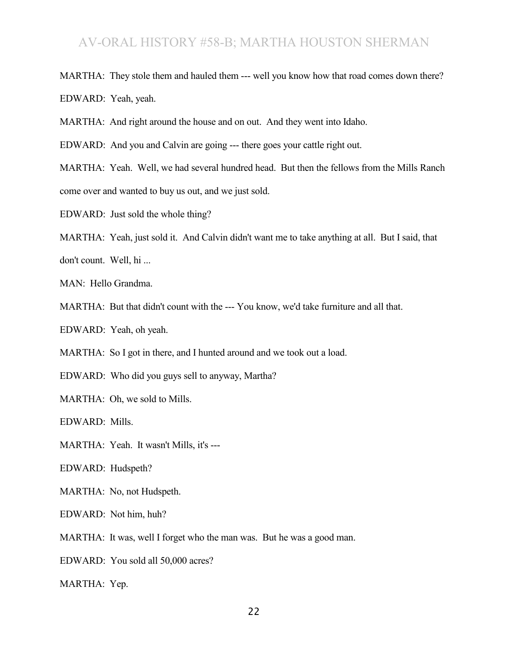MARTHA: They stole them and hauled them --- well you know how that road comes down there? EDWARD: Yeah, yeah.

MARTHA: And right around the house and on out. And they went into Idaho.

EDWARD: And you and Calvin are going --- there goes your cattle right out.

MARTHA: Yeah. Well, we had several hundred head. But then the fellows from the Mills Ranch come over and wanted to buy us out, and we just sold.

EDWARD: Just sold the whole thing?

MARTHA: Yeah, just sold it. And Calvin didn't want me to take anything at all. But I said, that don't count. Well, hi ...

MAN: Hello Grandma.

MARTHA: But that didn't count with the --- You know, we'd take furniture and all that.

EDWARD: Yeah, oh yeah.

MARTHA: So I got in there, and I hunted around and we took out a load.

EDWARD: Who did you guys sell to anyway, Martha?

MARTHA: Oh, we sold to Mills.

EDWARD: Mills.

MARTHA: Yeah. It wasn't Mills, it's ---

EDWARD: Hudspeth?

MARTHA: No, not Hudspeth.

EDWARD: Not him, huh?

MARTHA: It was, well I forget who the man was. But he was a good man.

EDWARD: You sold all 50,000 acres?

MARTHA: Yep.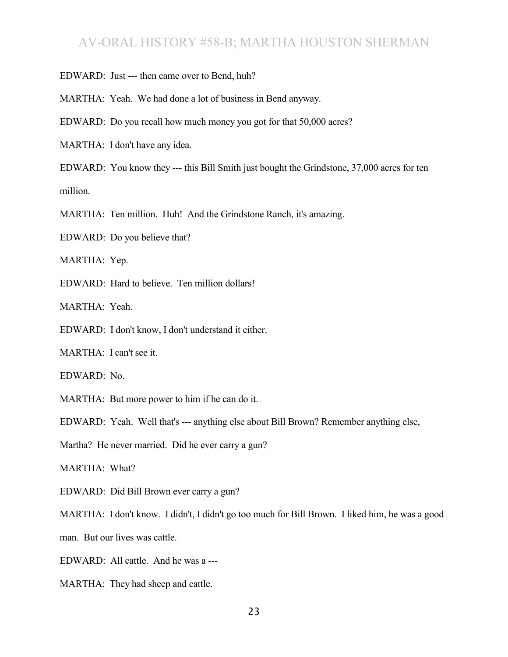EDWARD: Just --- then came over to Bend, huh?

MARTHA: Yeah. We had done a lot of business in Bend anyway.

EDWARD: Do you recall how much money you got for that 50,000 acres?

MARTHA: I don't have any idea.

EDWARD: You know they --- this Bill Smith just bought the Grindstone, 37,000 acres for ten million.

MARTHA: Ten million. Huh! And the Grindstone Ranch, it's amazing.

EDWARD: Do you believe that?

MARTHA: Yep.

EDWARD: Hard to believe. Ten million dollars!

MARTHA: Yeah.

EDWARD: I don't know, I don't understand it either.

MARTHA: I can't see it.

EDWARD: No.

MARTHA: But more power to him if he can do it.

EDWARD: Yeah. Well that's --- anything else about Bill Brown? Remember anything else,

Martha? He never married. Did he ever carry a gun?

MARTHA: What?

EDWARD: Did Bill Brown ever carry a gun?

MARTHA: I don't know. I didn't, I didn't go too much for Bill Brown. I liked him, he was a good man. But our lives was cattle.

EDWARD: All cattle. And he was a ---

MARTHA: They had sheep and cattle.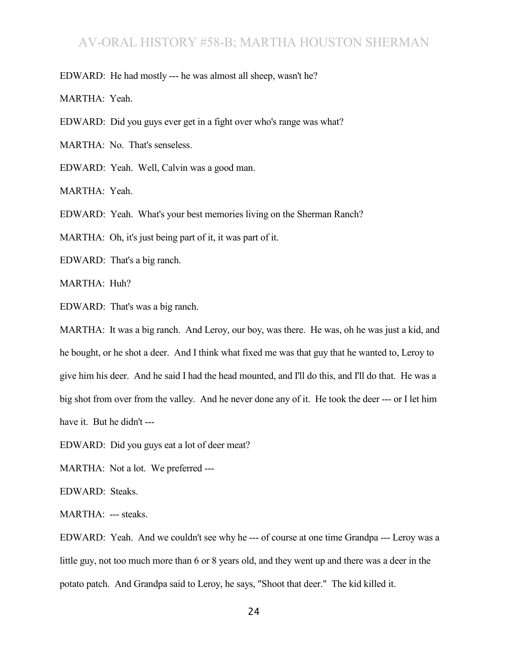EDWARD: He had mostly --- he was almost all sheep, wasn't he?

MARTHA: Yeah.

EDWARD: Did you guys ever get in a fight over who's range was what?

MARTHA: No. That's senseless.

EDWARD: Yeah. Well, Calvin was a good man.

MARTHA: Yeah.

EDWARD: Yeah. What's your best memories living on the Sherman Ranch?

MARTHA: Oh, it's just being part of it, it was part of it.

EDWARD: That's a big ranch.

MARTHA: Huh?

EDWARD: That's was a big ranch.

MARTHA: It was a big ranch. And Leroy, our boy, was there. He was, oh he was just a kid, and he bought, or he shot a deer. And I think what fixed me was that guy that he wanted to, Leroy to give him his deer. And he said I had the head mounted, and I'll do this, and I'll do that. He was a big shot from over from the valley. And he never done any of it. He took the deer --- or I let him have it. But he didn't ---

EDWARD: Did you guys eat a lot of deer meat?

MARTHA: Not a lot. We preferred ---

EDWARD: Steaks.

MARTHA: --- steaks.

EDWARD: Yeah. And we couldn't see why he --- of course at one time Grandpa --- Leroy was a little guy, not too much more than 6 or 8 years old, and they went up and there was a deer in the potato patch. And Grandpa said to Leroy, he says, "Shoot that deer." The kid killed it.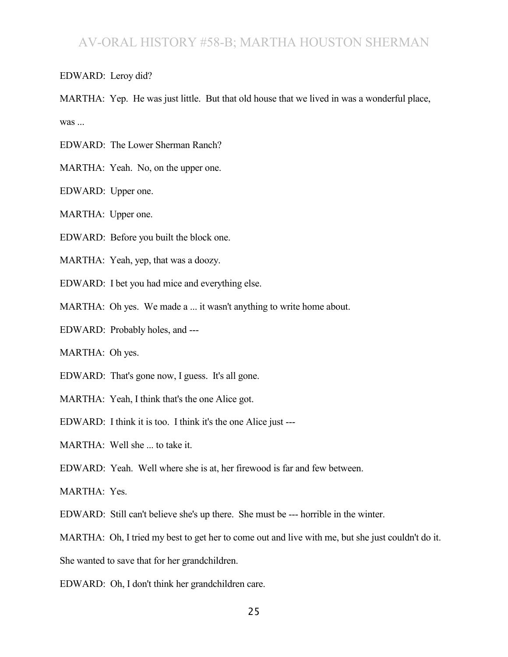EDWARD: Leroy did?

MARTHA: Yep. He was just little. But that old house that we lived in was a wonderful place, was ...

EDWARD: The Lower Sherman Ranch?

MARTHA: Yeah. No, on the upper one.

EDWARD: Upper one.

MARTHA: Upper one.

EDWARD: Before you built the block one.

MARTHA: Yeah, yep, that was a doozy.

EDWARD: I bet you had mice and everything else.

MARTHA: Oh yes. We made a ... it wasn't anything to write home about.

EDWARD: Probably holes, and ---

MARTHA: Oh yes.

EDWARD: That's gone now, I guess. It's all gone.

MARTHA: Yeah, I think that's the one Alice got.

EDWARD: I think it is too. I think it's the one Alice just ---

MARTHA: Well she ... to take it.

EDWARD: Yeah. Well where she is at, her firewood is far and few between.

MARTHA: Yes.

EDWARD: Still can't believe she's up there. She must be --- horrible in the winter.

MARTHA: Oh, I tried my best to get her to come out and live with me, but she just couldn't do it.

She wanted to save that for her grandchildren.

EDWARD: Oh, I don't think her grandchildren care.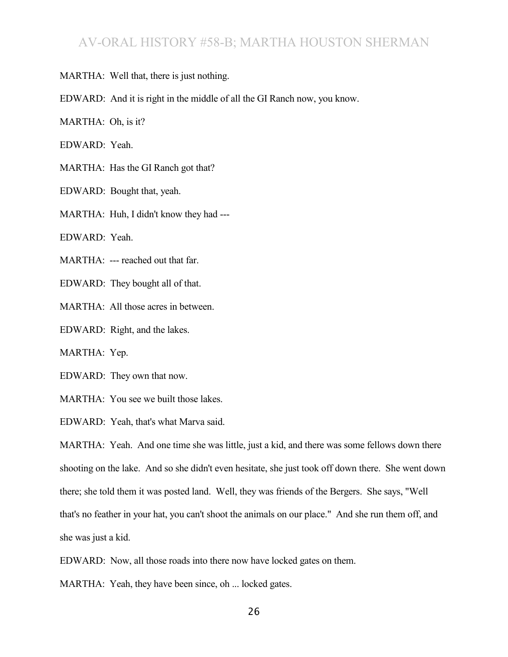- MARTHA: Well that, there is just nothing.
- EDWARD: And it is right in the middle of all the GI Ranch now, you know.

MARTHA: Oh, is it?

EDWARD: Yeah.

MARTHA: Has the GI Ranch got that?

EDWARD: Bought that, yeah.

MARTHA: Huh, I didn't know they had ---

EDWARD: Yeah.

MARTHA: --- reached out that far.

EDWARD: They bought all of that.

MARTHA: All those acres in between.

EDWARD: Right, and the lakes.

MARTHA: Yep.

EDWARD: They own that now.

MARTHA: You see we built those lakes.

EDWARD: Yeah, that's what Marva said.

MARTHA: Yeah. And one time she was little, just a kid, and there was some fellows down there shooting on the lake. And so she didn't even hesitate, she just took off down there. She went down there; she told them it was posted land. Well, they was friends of the Bergers. She says, "Well that's no feather in your hat, you can't shoot the animals on our place." And she run them off, and she was just a kid.

EDWARD: Now, all those roads into there now have locked gates on them.

MARTHA: Yeah, they have been since, oh ... locked gates.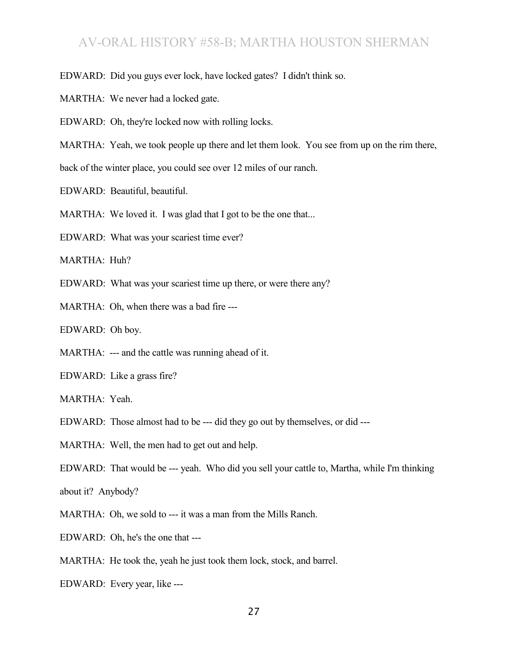EDWARD: Did you guys ever lock, have locked gates? I didn't think so.

MARTHA: We never had a locked gate.

EDWARD: Oh, they're locked now with rolling locks.

MARTHA: Yeah, we took people up there and let them look. You see from up on the rim there,

back of the winter place, you could see over 12 miles of our ranch.

EDWARD: Beautiful, beautiful.

MARTHA: We loved it. I was glad that I got to be the one that...

EDWARD: What was your scariest time ever?

MARTHA: Huh?

EDWARD: What was your scariest time up there, or were there any?

MARTHA: Oh, when there was a bad fire ---

EDWARD: Oh boy.

MARTHA: --- and the cattle was running ahead of it.

EDWARD: Like a grass fire?

MARTHA: Yeah.

EDWARD: Those almost had to be --- did they go out by themselves, or did ---

MARTHA: Well, the men had to get out and help.

EDWARD: That would be --- yeah. Who did you sell your cattle to, Martha, while I'm thinking

about it? Anybody?

MARTHA: Oh, we sold to --- it was a man from the Mills Ranch.

EDWARD: Oh, he's the one that ---

MARTHA: He took the, yeah he just took them lock, stock, and barrel.

EDWARD: Every year, like ---